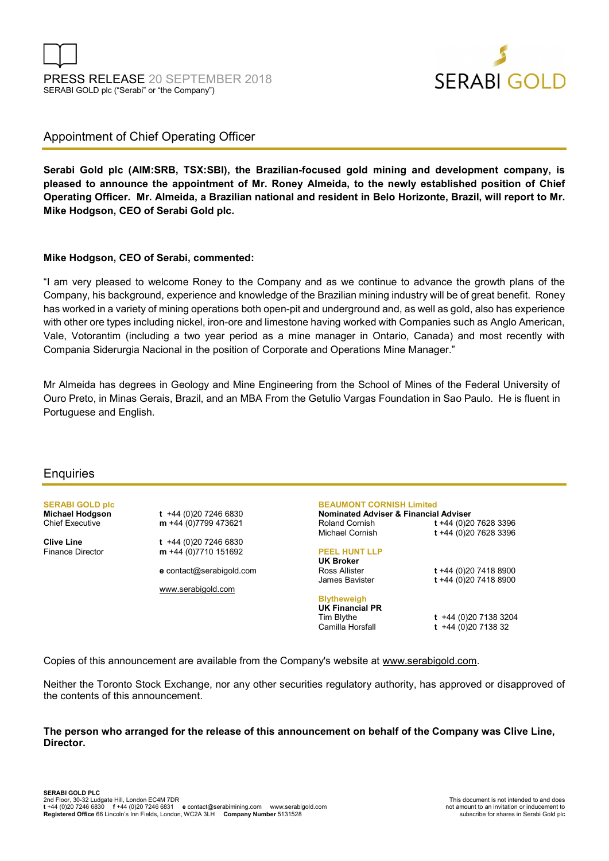

### Appointment of Chief Operating Officer

Serabi Gold plc (AIM:SRB, TSX:SBI), the Brazilian-focused gold mining and development company, is pleased to announce the appointment of Mr. Roney Almeida, to the newly established position of Chief Operating Officer. Mr. Almeida, a Brazilian national and resident in Belo Horizonte, Brazil, will report to Mr. Mike Hodgson, CEO of Serabi Gold plc.

#### Mike Hodgson, CEO of Serabi, commented:

"I am very pleased to welcome Roney to the Company and as we continue to advance the growth plans of the Company, his background, experience and knowledge of the Brazilian mining industry will be of great benefit. Roney has worked in a variety of mining operations both open-pit and underground and, as well as gold, also has experience with other ore types including nickel, iron-ore and limestone having worked with Companies such as Anglo American, Vale, Votorantim (including a two year period as a mine manager in Ontario, Canada) and most recently with Compania Siderurgia Nacional in the position of Corporate and Operations Mine Manager."

Mr Almeida has degrees in Geology and Mine Engineering from the School of Mines of the Federal University of Ouro Preto, in Minas Gerais, Brazil, and an MBA From the Getulio Vargas Foundation in Sao Paulo. He is fluent in Portuguese and English.

#### **Enquiries**

**SERABI GOLD plc**<br>Michael Hodgson

 $t +44 (0)20 7246 6830$ Chief Executive  $m +44(0)7799473621$ 

**Clive Line** t +44 (0)20 7246 6830<br>Finance Director **m** +44 (0)7710 151692  $m + 44 (0)7710 151692$ 

e contact@serabigold.com

www.serabigold.com

#### BEAUMONT CORNISH Limited

Nominated Adviser & Financial Adviser Roland Cornish t +44 (0)20 7628 3396 Michael Cornish **t** +44 (0)20 7628 3396

#### PEEL HUNT LLP

UK Broker Ross Allister **t** +44 (0)20 7418 8900<br>James Bavister **t** +44 (0)20 7418 8900

## **Blytheweigh UK Financial PR**<br>Tim Blythe

 $t +44 (0)20 7138 3204$ 

 $t + 44 (0)20 7418 8900$ 

Camilla Horsfall **t** +44 (0)20 7138 32

Copies of this announcement are available from the Company's website at www.serabigold.com.

Neither the Toronto Stock Exchange, nor any other securities regulatory authority, has approved or disapproved of the contents of this announcement.

#### The person who arranged for the release of this announcement on behalf of the Company was Clive Line, Director.